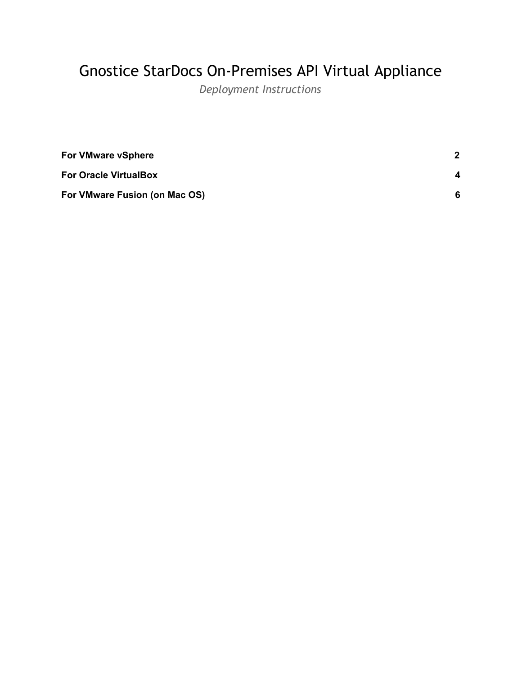## Gnostice StarDocs On-Premises API Virtual Appliance

*Deployment Instructions*

| <b>For VMware vSphere</b>     |   |
|-------------------------------|---|
| <b>For Oracle VirtualBox</b>  | 4 |
| For VMware Fusion (on Mac OS) | 6 |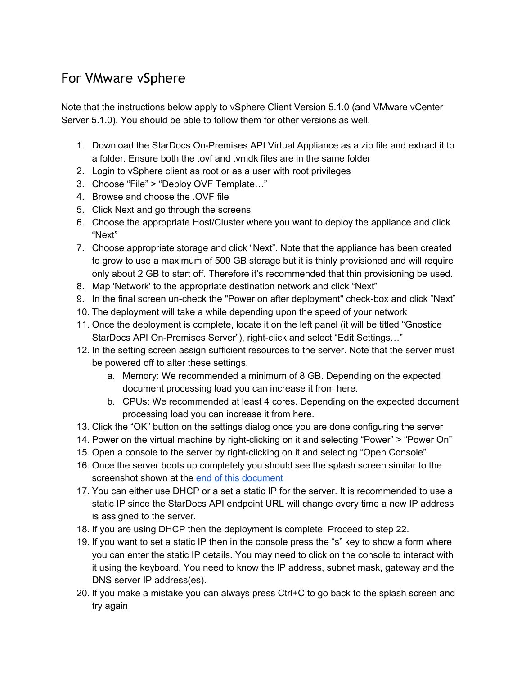## <span id="page-1-0"></span>For VMware vSphere

Note that the instructions below apply to vSphere Client Version 5.1.0 (and VMware vCenter Server 5.1.0). You should be able to follow them for other versions as well.

- 1. Download the StarDocs On-Premises API Virtual Appliance as a zip file and extract it to a folder. Ensure both the .ovf and .vmdk files are in the same folder
- 2. Login to vSphere client as root or as a user with root privileges
- 3. Choose "File" > "Deploy OVF Template…"
- 4. Browse and choose the .OVF file
- 5. Click Next and go through the screens
- 6. Choose the appropriate Host/Cluster where you want to deploy the appliance and click "Next"
- 7. Choose appropriate storage and click "Next". Note that the appliance has been created to grow to use a maximum of 500 GB storage but it is thinly provisioned and will require only about 2 GB to start off. Therefore it's recommended that thin provisioning be used.
- 8. Map 'Network' to the appropriate destination network and click "Next"
- 9. In the final screen un-check the "Power on after deployment" check-box and click "Next"
- 10. The deployment will take a while depending upon the speed of your network
- 11. Once the deployment is complete, locate it on the left panel (it will be titled "Gnostice StarDocs API On-Premises Server"), right-click and select "Edit Settings…"
- 12. In the setting screen assign sufficient resources to the server. Note that the server must be powered off to alter these settings.
	- a. Memory: We recommended a minimum of 8 GB. Depending on the expected document processing load you can increase it from here.
	- b. CPUs: We recommended at least 4 cores. Depending on the expected document processing load you can increase it from here.
- 13. Click the "OK" button on the settings dialog once you are done configuring the server
- 14. Power on the virtual machine by right-clicking on it and selecting "Power" > "Power On"
- 15. Open a console to the server by right-clicking on it and selecting "Open Console"
- 16. Once the server boots up completely you should see the splash screen similar to the screenshot shown at the end of this [document](#page-7-0)
- 17. You can either use DHCP or a set a static IP for the server. It is recommended to use a static IP since the StarDocs API endpoint URL will change every time a new IP address is assigned to the server.
- 18. If you are using DHCP then the deployment is complete. Proceed to step 22.
- 19. If you want to set a static IP then in the console press the "s" key to show a form where you can enter the static IP details. You may need to click on the console to interact with it using the keyboard. You need to know the IP address, subnet mask, gateway and the DNS server IP address(es).
- 20. If you make a mistake you can always press Ctrl+C to go back to the splash screen and try again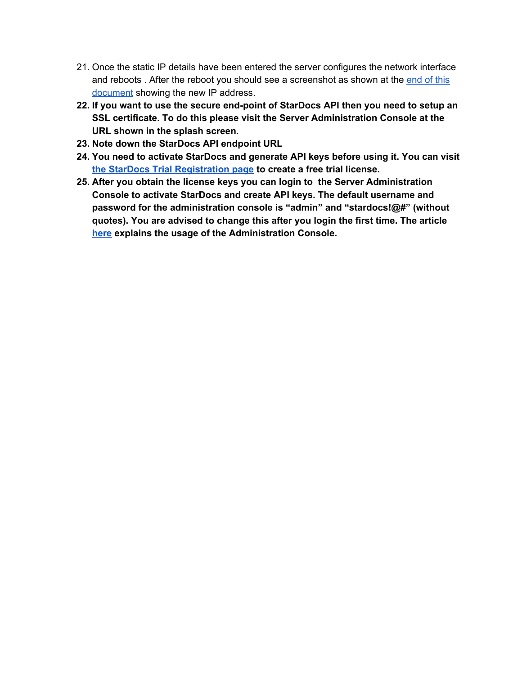- 21. Once the static IP details have been entered the server configures the network interface and reboots . After the reboot you should see a screenshot as shown at the [end](#page-7-0) of this [document](#page-7-0) showing the new IP address.
- **22. If you want to use the secure end-point of StarDocs API then you need to setup an SSL certificate. To do this please visit the Server Administration Console at the URL shown in the splash screen.**
- **23. Note down the StarDocs API endpoint URL**
- **24. You need to activate StarDocs and generate API keys before using it. You can visit the StarDocs Trial [Registration](https://www.gnostice.com/stardocs.asp?show=trial) page to create a free trial license.**
- **25. After you obtain the license keys you can login to the Server Administration Console to activate StarDocs and create API keys. The default username and password for the administration console is "admin" and "stardocs!@#" (without quotes). You are advised to change this after you login the first time. The article [here](https://www.gnostice.com/nl_article.asp?id=336&t=Configuring_the_StarDocs_On_Premises_API_server) explains the usage of the Administration Console.**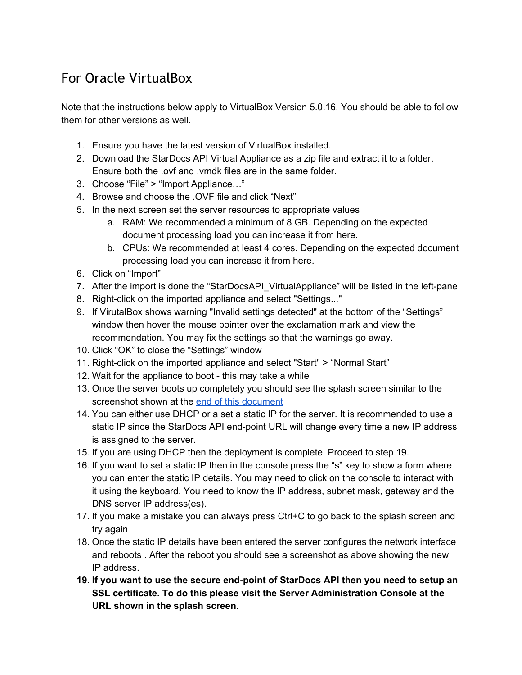## <span id="page-3-0"></span>For Oracle VirtualBox

Note that the instructions below apply to VirtualBox Version 5.0.16. You should be able to follow them for other versions as well.

- 1. Ensure you have the latest version of VirtualBox installed.
- 2. Download the StarDocs API Virtual Appliance as a zip file and extract it to a folder. Ensure both the .ovf and .vmdk files are in the same folder.
- 3. Choose "File" > "Import Appliance…"
- 4. Browse and choose the .OVF file and click "Next"
- 5. In the next screen set the server resources to appropriate values
	- a. RAM: We recommended a minimum of 8 GB. Depending on the expected document processing load you can increase it from here.
	- b. CPUs: We recommended at least 4 cores. Depending on the expected document processing load you can increase it from here.
- 6. Click on "Import"
- 7. After the import is done the "StarDocsAPI\_VirtualAppliance" will be listed in the left-pane
- 8. Right-click on the imported appliance and select "Settings..."
- 9. If VirutalBox shows warning "Invalid settings detected" at the bottom of the "Settings" window then hover the mouse pointer over the exclamation mark and view the recommendation. You may fix the settings so that the warnings go away.
- 10. Click "OK" to close the "Settings" window
- 11. Right-click on the imported appliance and select "Start" > "Normal Start"
- 12. Wait for the appliance to boot this may take a while
- 13. Once the server boots up completely you should see the splash screen similar to the screenshot shown at the end of this [document](#page-7-0)
- 14. You can either use DHCP or a set a static IP for the server. It is recommended to use a static IP since the StarDocs API end-point URL will change every time a new IP address is assigned to the server.
- 15. If you are using DHCP then the deployment is complete. Proceed to step 19.
- 16. If you want to set a static IP then in the console press the "s" key to show a form where you can enter the static IP details. You may need to click on the console to interact with it using the keyboard. You need to know the IP address, subnet mask, gateway and the DNS server IP address(es).
- 17. If you make a mistake you can always press Ctrl+C to go back to the splash screen and try again
- 18. Once the static IP details have been entered the server configures the network interface and reboots . After the reboot you should see a screenshot as above showing the new IP address.
- **19. If you want to use the secure end-point of StarDocs API then you need to setup an SSL certificate. To do this please visit the Server Administration Console at the URL shown in the splash screen.**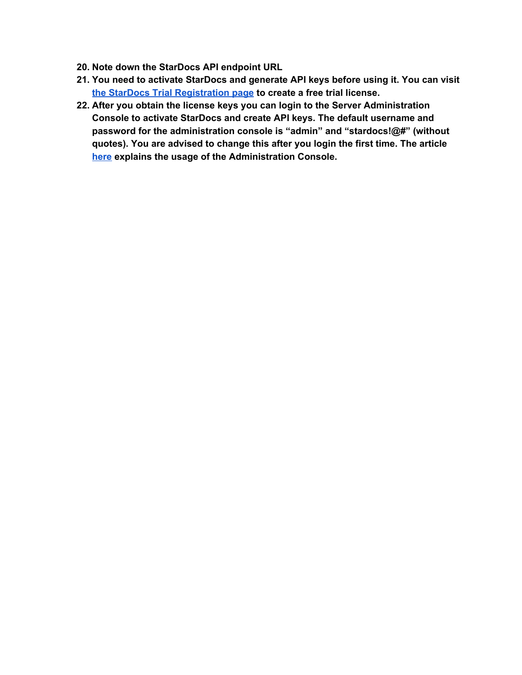- **20. Note down the StarDocs API endpoint URL**
- **21. You need to activate StarDocs and generate API keys before using it. You can visit the StarDocs Trial [Registration](https://www.gnostice.com/stardocs.asp?show=trial) page to create a free trial license.**
- **22. After you obtain the license keys you can login to the Server Administration Console to activate StarDocs and create API keys. The default username and password for the administration console is "admin" and "stardocs!@#" (without quotes). You are advised to change this after you login the first time. The article [here](https://www.gnostice.com/nl_article.asp?id=336&t=Configuring_the_StarDocs_On_Premises_API_server) explains the usage of the Administration Console.**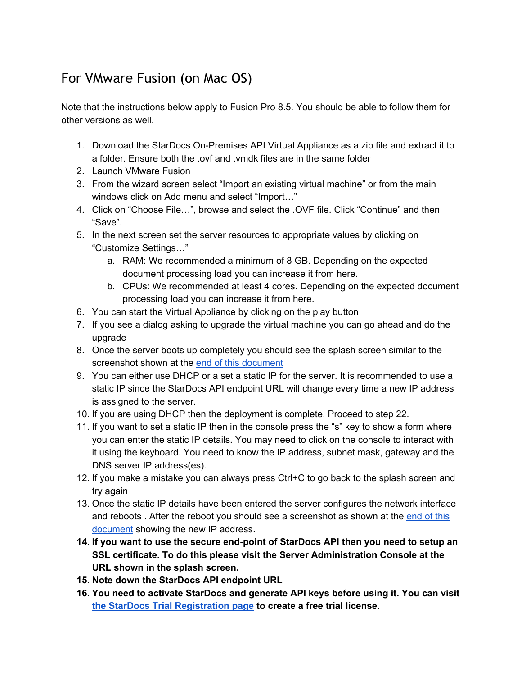## <span id="page-5-0"></span>For VMware Fusion (on Mac OS)

Note that the instructions below apply to Fusion Pro 8.5. You should be able to follow them for other versions as well.

- 1. Download the StarDocs On-Premises API Virtual Appliance as a zip file and extract it to a folder. Ensure both the .ovf and .vmdk files are in the same folder
- 2. Launch VMware Fusion
- 3. From the wizard screen select "Import an existing virtual machine" or from the main windows click on Add menu and select "Import…"
- 4. Click on "Choose File…", browse and select the .OVF file. Click "Continue" and then "Save".
- 5. In the next screen set the server resources to appropriate values by clicking on "Customize Settings…"
	- a. RAM: We recommended a minimum of 8 GB. Depending on the expected document processing load you can increase it from here.
	- b. CPUs: We recommended at least 4 cores. Depending on the expected document processing load you can increase it from here.
- 6. You can start the Virtual Appliance by clicking on the play button
- 7. If you see a dialog asking to upgrade the virtual machine you can go ahead and do the upgrade
- 8. Once the server boots up completely you should see the splash screen similar to the screenshot shown at the end of this [document](#page-7-0)
- 9. You can either use DHCP or a set a static IP for the server. It is recommended to use a static IP since the StarDocs API endpoint URL will change every time a new IP address is assigned to the server.
- 10. If you are using DHCP then the deployment is complete. Proceed to step 22.
- 11. If you want to set a static IP then in the console press the "s" key to show a form where you can enter the static IP details. You may need to click on the console to interact with it using the keyboard. You need to know the IP address, subnet mask, gateway and the DNS server IP address(es).
- 12. If you make a mistake you can always press Ctrl+C to go back to the splash screen and try again
- 13. Once the static IP details have been entered the server configures the network interface and reboots . After the reboot you should see a screenshot as shown at the [end](#page-7-0) of this [document](#page-7-0) showing the new IP address.
- **14. If you want to use the secure end-point of StarDocs API then you need to setup an SSL certificate. To do this please visit the Server Administration Console at the URL shown in the splash screen.**
- **15. Note down the StarDocs API endpoint URL**
- **16. You need to activate StarDocs and generate API keys before using it. You can visit the StarDocs Trial [Registration](https://www.gnostice.com/stardocs.asp?show=trial) page to create a free trial license.**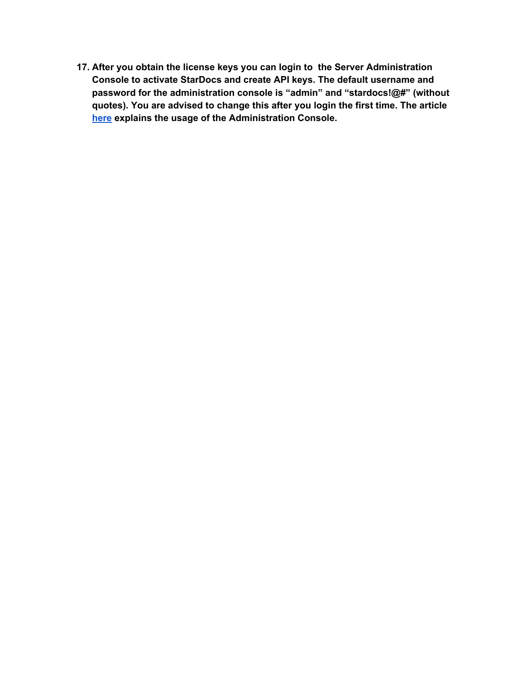**17. After you obtain the license keys you can login to the Server Administration Console to activate StarDocs and create API keys. The default username and password for the administration console is "admin" and "stardocs!@#" (without quotes). You are advised to change this after you login the first time. The article [here](https://www.gnostice.com/nl_article.asp?id=336&t=Configuring_the_StarDocs_On_Premises_API_server) explains the usage of the Administration Console.**